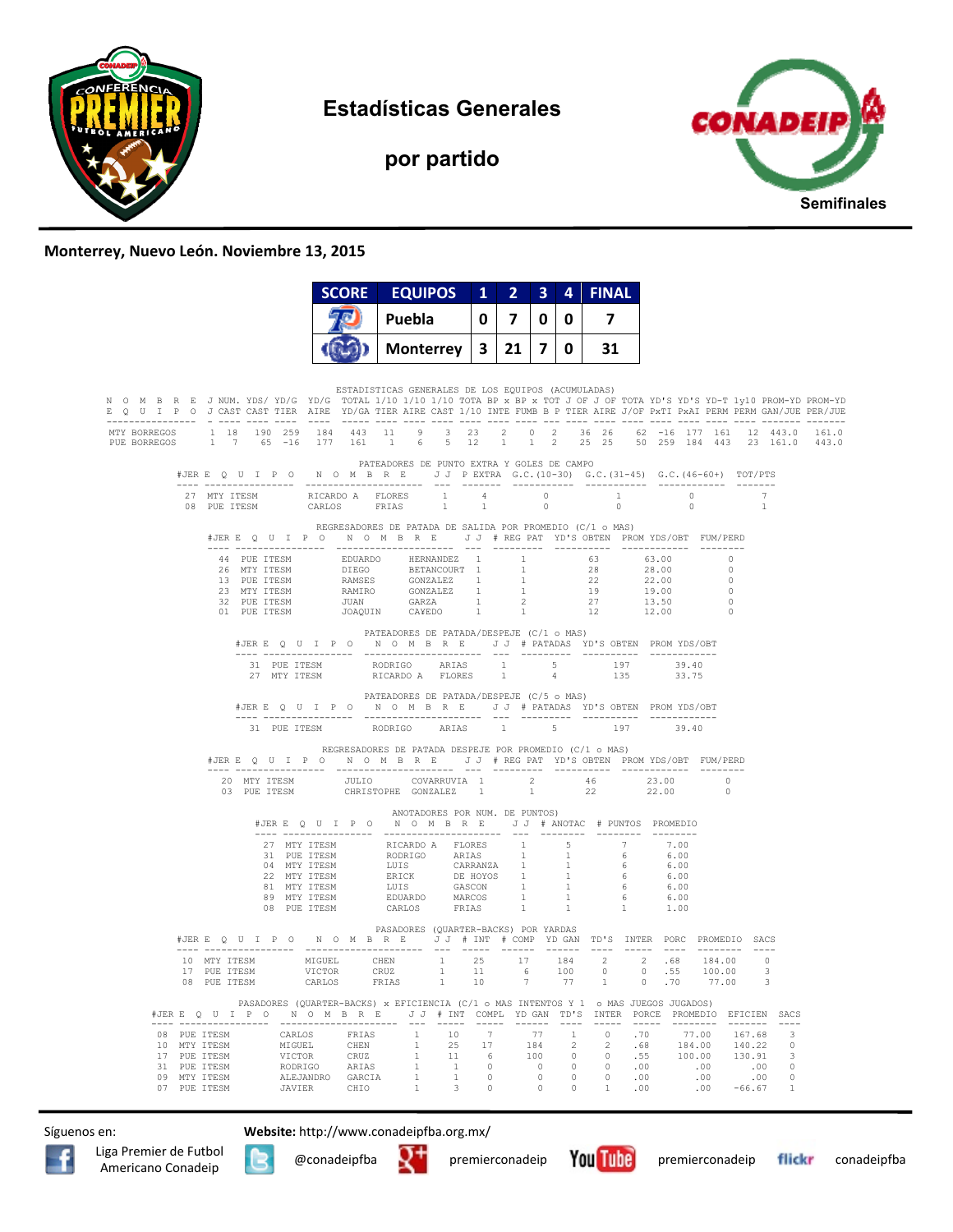

**Estadísticas Generales** 

**por partido** 



## **Monterrey, Nuevo León. Noviembre 13, 2015**

|                                                                                                                                                                                                                                                                                              | <b>SCORE</b> | <b>EQUIPOS</b>                                                                                               |   | $1 \quad 2 \quad 3 \quad 4$ |                |                | <b>FINAL</b>                      |                                                        |                |                      |  |
|----------------------------------------------------------------------------------------------------------------------------------------------------------------------------------------------------------------------------------------------------------------------------------------------|--------------|--------------------------------------------------------------------------------------------------------------|---|-----------------------------|----------------|----------------|-----------------------------------|--------------------------------------------------------|----------------|----------------------|--|
|                                                                                                                                                                                                                                                                                              |              | Puebla                                                                                                       | 0 | $\overline{7}$              | $\mathbf{0}$   | 0              | 7                                 |                                                        |                |                      |  |
|                                                                                                                                                                                                                                                                                              |              | <b>Monterrey</b>                                                                                             | 3 | $21 \mid 7 \mid$            |                | $\mathbf{0}$   | 31                                |                                                        |                |                      |  |
| N O M B R E J NUM. YDS/YD/G YD/G TOTAL 1/10 1/10 1/10 TOTA BP x BP x TOT J OF J OF TOTA YD'S YD-T 1v10 PROM-YD PROM-YD<br>E Q U I P O J CAST CAST TIER AIRE YD/GA TIER AIRE CAST 1/10 INTE FUMB B P TIER AIRE J/OF PXTI PXAI PERM PERM GAN/JUE PER/JUE                                       |              | ESTADISTICAS GENERALES DE LOS EQUIPOS (ACUMULADAS)                                                           |   |                             |                |                |                                   |                                                        |                |                      |  |
| 1 18 190 259 184 443 11 9 3 23 2 0 2 36 26 62 -16 177 161 12 443.0 161.0<br>MTY BORREGOS<br>$1\quad 7\quad 65\quad -16\quad 177\quad 161\quad 1\quad 6\quad 5\quad 12\quad 1\quad 1\quad 2\quad 25\quad 25\quad 50\quad 259\quad 184\quad 443\quad 23\quad 161.0\quad 443.0$<br>PUE BORREGOS |              |                                                                                                              |   |                             |                |                |                                   |                                                        |                |                      |  |
| #JERE Q U I P O N O M B R E J J PEXTRA G.C. (10-30) G.C. (31-45) G.C. (46-60+) TOT/PTS                                                                                                                                                                                                       |              | PATEADORES DE PUNTO EXTRA Y GOLES DE CAMPO                                                                   |   |                             |                |                |                                   |                                                        |                |                      |  |
|                                                                                                                                                                                                                                                                                              | CARLOS FRIAS | 1                                                                                                            | 1 |                             | $\overline{0}$ |                | $\overline{0}$                    |                                                        | $\overline{0}$ | 7<br>$\overline{1}$  |  |
| #JERE QUIPON OMBRE JJ #REGPAT YD'S OBTEN PROMYDS/OBT FUM/PERD                                                                                                                                                                                                                                |              | REGRESADORES DE PATADA DE SALIDA POR PROMEDIO (C/1 o MAS)                                                    |   |                             |                |                |                                   |                                                        |                |                      |  |
|                                                                                                                                                                                                                                                                                              | ---------    | --------                                                                                                     |   |                             |                |                | --------- ---------- ------------ |                                                        |                |                      |  |
|                                                                                                                                                                                                                                                                                              |              | PATEADORES DE PATADA/DESPEJE (C/1 o MAS)<br>#JERE Q U I P O N O M B R E J J # PATADAS YD'S OBTEN PROMYDS/OBT |   |                             |                |                |                                   |                                                        |                |                      |  |
| 27 MTY ITESM                                                                                                                                                                                                                                                                                 |              | RICARDO A FLORES 1                                                                                           |   |                             |                | $\overline{4}$ | 1.35                              |                                                        | 33.75          |                      |  |
|                                                                                                                                                                                                                                                                                              |              | PATEADORES DE PATADA/DESPEJE (C/5 o MAS)<br>#JERE QUIPO NOMBRE JJ #PATADAS YD'SOBTEN PROMYDS/OBT             |   |                             |                |                |                                   |                                                        |                |                      |  |
| 31 PUE ITESM                                                                                                                                                                                                                                                                                 |              | RODRIGO ARIAS 1 5 197 39.40                                                                                  |   |                             |                |                |                                   |                                                        |                |                      |  |
| #JERE Q U I P O N O M B R E J J # REG PAT YD'S OBTEN PROMYDS/OBT FUM/PERD                                                                                                                                                                                                                    |              | REGRESADORES DE PATADA DESPEJE POR PROMEDIO (C/1 o MAS)                                                      |   |                             |                |                |                                   |                                                        |                |                      |  |
|                                                                                                                                                                                                                                                                                              |              |                                                                                                              |   |                             |                |                |                                   |                                                        |                | $\Omega$<br>$\Omega$ |  |
|                                                                                                                                                                                                                                                                                              |              | ANOTADORES POR NUM. DE PUNTOS)<br>#JERE Q U I P O N O M B R E J J # ANOTAC # PUNTOS PROMEDIO                 |   |                             |                |                |                                   |                                                        |                |                      |  |
|                                                                                                                                                                                                                                                                                              |              |                                                                                                              |   |                             |                |                |                                   | 7.00<br>$6.00$<br>6.00<br>6.00<br>6.00<br>6.00<br>1.00 |                |                      |  |
| #JERE OUIPON OMBRE JJ # INT # COMP YD GAN TD'S INTER PORC PROMEDIO SACS                                                                                                                                                                                                                      |              | PASADORES (OUARTER-BACKS) POR YARDAS                                                                         |   |                             |                |                |                                   |                                                        |                |                      |  |
| $\begin{tabular}{cccccccc} 10 & MTY TTESM & MIGUEL & CHEN & 1 & 25 & 17 & 184 & 2 & 2 & .68 & 184.00 & 0 \\ 17 & PUE TTESM & VICTOR & CRUZ & 1 & 11 & 6 & 100 & 0 & 0 & .55 & 100.00 & 3 \\ 08 & PUE TTESM & CARLOS & FRIAS & 1 & 10 & 7 & 77 & 1 & 0 & .70 & 77.00 & 3 \\ \end{tabular}$    |              |                                                                                                              |   |                             |                |                |                                   |                                                        |                |                      |  |
| #JERE Q U I P O N O M B R E J J # INT COMPL YDGAN TD'S INTER PORCE PROMEDIO EFICIEN SACS                                                                                                                                                                                                     |              | PASADORES (QUARTER-BACKS) x EFICIENCIA (C/1 o MAS INTENTOS Y 1 o MAS JUEGOS JUGADOS)                         |   |                             |                |                |                                   |                                                        |                |                      |  |
| 08 PUE ITESM CARLOS FRIAS 1 10 7 77 1 0 .70 77.00 167.68 3<br>10 MTY ITESM MIGUEL CHEN 1 25 17 184 2 2 .68 184.00 140.22 0<br>17 PUE ITESM VICTOR CRUZ 1 11 6 100 0 0 .55 100.00 130.91 3<br>31 PUE ITESM RODRIGO ARIAS 1 1 0 0 0 0 .00<br>JAVIER                                            |              |                                                                                                              |   |                             |                |                |                                   |                                                        | .00            |                      |  |

Síguenos en: **Website:** http://www.conadeipfba.org.mx/







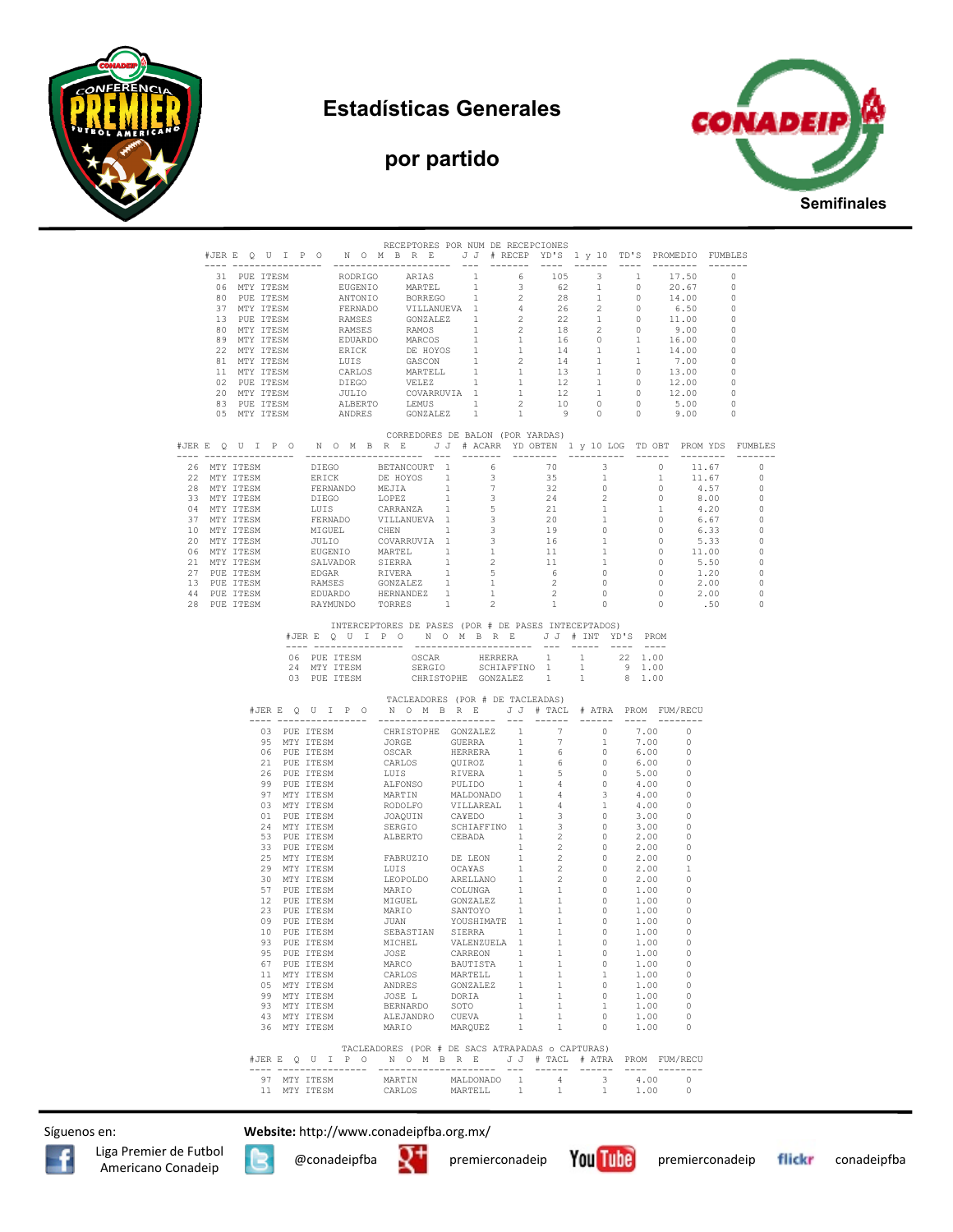







|  |  |                 | RECEPTORES POR NUM DE RECEPCIONES<br>#JERE QUIPO NOMBRE JJ #RECEPYD'S 1 y 10 TD'S PROMEDIO FUMBLES                                                                                                                                                                                                                                                                                                                                                     |              |              |                   |                                                                                                                                                                                                                                                                                                                                                           |                                            |  |
|--|--|-----------------|--------------------------------------------------------------------------------------------------------------------------------------------------------------------------------------------------------------------------------------------------------------------------------------------------------------------------------------------------------------------------------------------------------------------------------------------------------|--------------|--------------|-------------------|-----------------------------------------------------------------------------------------------------------------------------------------------------------------------------------------------------------------------------------------------------------------------------------------------------------------------------------------------------------|--------------------------------------------|--|
|  |  |                 |                                                                                                                                                                                                                                                                                                                                                                                                                                                        |              |              |                   |                                                                                                                                                                                                                                                                                                                                                           |                                            |  |
|  |  |                 |                                                                                                                                                                                                                                                                                                                                                                                                                                                        |              |              |                   |                                                                                                                                                                                                                                                                                                                                                           |                                            |  |
|  |  |                 |                                                                                                                                                                                                                                                                                                                                                                                                                                                        |              |              |                   |                                                                                                                                                                                                                                                                                                                                                           |                                            |  |
|  |  |                 |                                                                                                                                                                                                                                                                                                                                                                                                                                                        |              |              |                   |                                                                                                                                                                                                                                                                                                                                                           |                                            |  |
|  |  |                 |                                                                                                                                                                                                                                                                                                                                                                                                                                                        |              |              |                   |                                                                                                                                                                                                                                                                                                                                                           |                                            |  |
|  |  |                 |                                                                                                                                                                                                                                                                                                                                                                                                                                                        |              |              |                   |                                                                                                                                                                                                                                                                                                                                                           |                                            |  |
|  |  |                 |                                                                                                                                                                                                                                                                                                                                                                                                                                                        |              |              |                   |                                                                                                                                                                                                                                                                                                                                                           |                                            |  |
|  |  |                 |                                                                                                                                                                                                                                                                                                                                                                                                                                                        |              |              |                   |                                                                                                                                                                                                                                                                                                                                                           |                                            |  |
|  |  |                 |                                                                                                                                                                                                                                                                                                                                                                                                                                                        |              |              |                   |                                                                                                                                                                                                                                                                                                                                                           |                                            |  |
|  |  |                 |                                                                                                                                                                                                                                                                                                                                                                                                                                                        |              |              |                   |                                                                                                                                                                                                                                                                                                                                                           |                                            |  |
|  |  |                 |                                                                                                                                                                                                                                                                                                                                                                                                                                                        |              |              |                   |                                                                                                                                                                                                                                                                                                                                                           |                                            |  |
|  |  |                 |                                                                                                                                                                                                                                                                                                                                                                                                                                                        |              |              |                   |                                                                                                                                                                                                                                                                                                                                                           |                                            |  |
|  |  |                 |                                                                                                                                                                                                                                                                                                                                                                                                                                                        |              |              |                   |                                                                                                                                                                                                                                                                                                                                                           |                                            |  |
|  |  |                 |                                                                                                                                                                                                                                                                                                                                                                                                                                                        |              |              |                   |                                                                                                                                                                                                                                                                                                                                                           |                                            |  |
|  |  |                 | CORREDORES DE BALON (POR YARDAS)                                                                                                                                                                                                                                                                                                                                                                                                                       |              |              |                   |                                                                                                                                                                                                                                                                                                                                                           |                                            |  |
|  |  |                 | #JERE QUIPO NOMBRE JJ # ACARR YDOBTEN 1 y 10 LOG TDOBT PROMYDS FUMBLES                                                                                                                                                                                                                                                                                                                                                                                 |              |              |                   |                                                                                                                                                                                                                                                                                                                                                           |                                            |  |
|  |  |                 | $\begin{tabular}{cccccccc} \texttt{---} & \texttt{---} & \texttt{---} & \texttt{---} & \texttt{---} & \texttt{---} & \texttt{---} & \texttt{---} & \texttt{---} & \texttt{---} & \texttt{---} & \texttt{---} & \texttt{---} & \texttt{---} & \texttt{---} \\ 22 & \texttt{MT} & \texttt{ITESM} & \texttt{DERICK} & \texttt{DE RICW} & \texttt{DE RON} & \texttt{1} & 6 & 70 & 3 & 0 & 11.67 & 0 \\ 22 & \texttt{MT} & \texttt{ITESM} & \texttt{EERICK$ |              |              |                   |                                                                                                                                                                                                                                                                                                                                                           |                                            |  |
|  |  |                 |                                                                                                                                                                                                                                                                                                                                                                                                                                                        |              |              |                   |                                                                                                                                                                                                                                                                                                                                                           |                                            |  |
|  |  |                 |                                                                                                                                                                                                                                                                                                                                                                                                                                                        |              |              |                   |                                                                                                                                                                                                                                                                                                                                                           |                                            |  |
|  |  |                 |                                                                                                                                                                                                                                                                                                                                                                                                                                                        |              |              |                   |                                                                                                                                                                                                                                                                                                                                                           |                                            |  |
|  |  |                 |                                                                                                                                                                                                                                                                                                                                                                                                                                                        |              |              |                   |                                                                                                                                                                                                                                                                                                                                                           |                                            |  |
|  |  |                 |                                                                                                                                                                                                                                                                                                                                                                                                                                                        |              |              |                   |                                                                                                                                                                                                                                                                                                                                                           |                                            |  |
|  |  |                 |                                                                                                                                                                                                                                                                                                                                                                                                                                                        |              |              |                   |                                                                                                                                                                                                                                                                                                                                                           |                                            |  |
|  |  |                 |                                                                                                                                                                                                                                                                                                                                                                                                                                                        |              |              |                   |                                                                                                                                                                                                                                                                                                                                                           |                                            |  |
|  |  |                 |                                                                                                                                                                                                                                                                                                                                                                                                                                                        |              |              |                   |                                                                                                                                                                                                                                                                                                                                                           |                                            |  |
|  |  |                 |                                                                                                                                                                                                                                                                                                                                                                                                                                                        |              |              |                   |                                                                                                                                                                                                                                                                                                                                                           |                                            |  |
|  |  |                 |                                                                                                                                                                                                                                                                                                                                                                                                                                                        |              |              |                   |                                                                                                                                                                                                                                                                                                                                                           |                                            |  |
|  |  |                 |                                                                                                                                                                                                                                                                                                                                                                                                                                                        |              |              |                   |                                                                                                                                                                                                                                                                                                                                                           |                                            |  |
|  |  |                 |                                                                                                                                                                                                                                                                                                                                                                                                                                                        |              |              |                   |                                                                                                                                                                                                                                                                                                                                                           |                                            |  |
|  |  |                 |                                                                                                                                                                                                                                                                                                                                                                                                                                                        |              |              |                   |                                                                                                                                                                                                                                                                                                                                                           |                                            |  |
|  |  |                 | INTERCEPTORES DE PASES (POR # DE PASES INTECEPTADOS)                                                                                                                                                                                                                                                                                                                                                                                                   |              |              |                   |                                                                                                                                                                                                                                                                                                                                                           |                                            |  |
|  |  |                 | #JERE QUIPO NOMBRE JJ # INT YD'S PROM                                                                                                                                                                                                                                                                                                                                                                                                                  |              |              |                   |                                                                                                                                                                                                                                                                                                                                                           |                                            |  |
|  |  |                 |                                                                                                                                                                                                                                                                                                                                                                                                                                                        |              |              |                   |                                                                                                                                                                                                                                                                                                                                                           |                                            |  |
|  |  |                 |                                                                                                                                                                                                                                                                                                                                                                                                                                                        |              |              |                   |                                                                                                                                                                                                                                                                                                                                                           |                                            |  |
|  |  |                 |                                                                                                                                                                                                                                                                                                                                                                                                                                                        |              |              |                   |                                                                                                                                                                                                                                                                                                                                                           |                                            |  |
|  |  |                 |                                                                                                                                                                                                                                                                                                                                                                                                                                                        |              |              |                   |                                                                                                                                                                                                                                                                                                                                                           |                                            |  |
|  |  |                 |                                                                                                                                                                                                                                                                                                                                                                                                                                                        |              |              |                   |                                                                                                                                                                                                                                                                                                                                                           |                                            |  |
|  |  |                 | TACLEADORES (POR # DE TACLEADAS)                                                                                                                                                                                                                                                                                                                                                                                                                       |              |              |                   |                                                                                                                                                                                                                                                                                                                                                           |                                            |  |
|  |  |                 | #JERE QUIPO NOMBRE JJ # TACL # ATRA PROM FUM/RECU                                                                                                                                                                                                                                                                                                                                                                                                      |              |              |                   |                                                                                                                                                                                                                                                                                                                                                           |                                            |  |
|  |  | --- ----------- | ----- ----------------------                                                                                                                                                                                                                                                                                                                                                                                                                           |              |              | --- ------ ------ | $\begin{tabular}{ll} \multicolumn{2}{c}{\multicolumn{2}{c}{\multicolumn{2}{c}{\multicolumn{2}{c}{\multicolumn{2}{c}{\multicolumn{2}{c}{\multicolumn{2}{c}{\multicolumn{2}{c}{\multicolumn{2}{c}{\multicolumn{2}{c}{\multicolumn{2}{c}{\multicolumn{2}{c}{\textbf{1}}}}}}}}}} \quad \multicolumn{2}{c}{ \multicolumn{2}{c}{\hspace{0.08cm}} \end{tabular}$ |                                            |  |
|  |  |                 |                                                                                                                                                                                                                                                                                                                                                                                                                                                        |              |              |                   |                                                                                                                                                                                                                                                                                                                                                           |                                            |  |
|  |  |                 |                                                                                                                                                                                                                                                                                                                                                                                                                                                        |              |              |                   |                                                                                                                                                                                                                                                                                                                                                           |                                            |  |
|  |  |                 |                                                                                                                                                                                                                                                                                                                                                                                                                                                        |              |              |                   |                                                                                                                                                                                                                                                                                                                                                           |                                            |  |
|  |  |                 |                                                                                                                                                                                                                                                                                                                                                                                                                                                        |              |              |                   |                                                                                                                                                                                                                                                                                                                                                           |                                            |  |
|  |  |                 |                                                                                                                                                                                                                                                                                                                                                                                                                                                        |              |              |                   |                                                                                                                                                                                                                                                                                                                                                           |                                            |  |
|  |  |                 |                                                                                                                                                                                                                                                                                                                                                                                                                                                        |              |              |                   |                                                                                                                                                                                                                                                                                                                                                           |                                            |  |
|  |  |                 |                                                                                                                                                                                                                                                                                                                                                                                                                                                        |              |              |                   |                                                                                                                                                                                                                                                                                                                                                           |                                            |  |
|  |  |                 |                                                                                                                                                                                                                                                                                                                                                                                                                                                        |              |              |                   |                                                                                                                                                                                                                                                                                                                                                           |                                            |  |
|  |  |                 |                                                                                                                                                                                                                                                                                                                                                                                                                                                        |              |              |                   |                                                                                                                                                                                                                                                                                                                                                           |                                            |  |
|  |  |                 |                                                                                                                                                                                                                                                                                                                                                                                                                                                        |              |              |                   |                                                                                                                                                                                                                                                                                                                                                           |                                            |  |
|  |  |                 |                                                                                                                                                                                                                                                                                                                                                                                                                                                        |              |              |                   |                                                                                                                                                                                                                                                                                                                                                           |                                            |  |
|  |  |                 |                                                                                                                                                                                                                                                                                                                                                                                                                                                        |              |              |                   |                                                                                                                                                                                                                                                                                                                                                           |                                            |  |
|  |  |                 |                                                                                                                                                                                                                                                                                                                                                                                                                                                        |              |              |                   |                                                                                                                                                                                                                                                                                                                                                           |                                            |  |
|  |  |                 |                                                                                                                                                                                                                                                                                                                                                                                                                                                        |              |              |                   |                                                                                                                                                                                                                                                                                                                                                           |                                            |  |
|  |  |                 |                                                                                                                                                                                                                                                                                                                                                                                                                                                        |              |              |                   |                                                                                                                                                                                                                                                                                                                                                           |                                            |  |
|  |  |                 |                                                                                                                                                                                                                                                                                                                                                                                                                                                        |              |              |                   |                                                                                                                                                                                                                                                                                                                                                           |                                            |  |
|  |  |                 |                                                                                                                                                                                                                                                                                                                                                                                                                                                        |              |              |                   |                                                                                                                                                                                                                                                                                                                                                           |                                            |  |
|  |  | 93 PUE ITESM    | MICHEL                                                                                                                                                                                                                                                                                                                                                                                                                                                 | VALENZUELA 1 | 1            | $\sim$ 0          | 1.00                                                                                                                                                                                                                                                                                                                                                      | $\circ$                                    |  |
|  |  | 95 PUE ITESM    | JOSE                                                                                                                                                                                                                                                                                                                                                                                                                                                   | CARREON 1    | $\mathbf{1}$ | $\overline{0}$    | 1.00                                                                                                                                                                                                                                                                                                                                                      | $\circ$                                    |  |
|  |  | 67 PUE ITESM    | MARCO                                                                                                                                                                                                                                                                                                                                                                                                                                                  | BAUTISTA 1   | 1            | $\overline{0}$    | 1.00                                                                                                                                                                                                                                                                                                                                                      | $\overline{0}$                             |  |
|  |  |                 |                                                                                                                                                                                                                                                                                                                                                                                                                                                        |              |              | $\sim$ 1          | 1.00                                                                                                                                                                                                                                                                                                                                                      | $\overline{0}$                             |  |
|  |  |                 |                                                                                                                                                                                                                                                                                                                                                                                                                                                        |              |              | $\overline{0}$    | 1.00                                                                                                                                                                                                                                                                                                                                                      | $\circ$                                    |  |
|  |  |                 |                                                                                                                                                                                                                                                                                                                                                                                                                                                        |              |              |                   | 1.00                                                                                                                                                                                                                                                                                                                                                      | $\sim$ 0                                   |  |
|  |  |                 |                                                                                                                                                                                                                                                                                                                                                                                                                                                        |              |              | $\sim$ 0          | 1.00<br>1.00                                                                                                                                                                                                                                                                                                                                              | $\overline{0}$<br>$\overline{\phantom{0}}$ |  |
|  |  |                 |                                                                                                                                                                                                                                                                                                                                                                                                                                                        |              |              | $\sim$ 0          | 1.00 0                                                                                                                                                                                                                                                                                                                                                    |                                            |  |
|  |  |                 | $\begin{tabular}{cccccc} 11 & MTY TTESM & CARLOS & MARTELL & 1 & 1 & 1 \\ 13 & MTY TTESM & CARLOS & MARTELL & 1 & 1 & 1 \\ 05 & MTY TTESM & ANDRES & GONZALEZ & 1 & 1 & 0 \\ 99 & MTY TTESM & 3OSEL & DORTA & 1 & 1 & 0 \\ 93 & MTY TTESM & BERNARDO & SOTO & 1 & 1 & 1 \\ 43 & MTY TTESM & ALEJANDRO & CUEVA & 1 & 1 & 0 \\ 36 & MTY TTESM & MARTO & MARUCEZ & 1 & 1 & 0 \\ \end{tabular}$                                                            |              |              |                   |                                                                                                                                                                                                                                                                                                                                                           |                                            |  |
|  |  |                 | TACLEADORES (POR # DE SACS ATRAPADAS o CAPTURAS)                                                                                                                                                                                                                                                                                                                                                                                                       |              |              |                   |                                                                                                                                                                                                                                                                                                                                                           |                                            |  |
|  |  |                 | #JERE QUIPONOMBRE JJ # TACL # ATRA PROMFUM/RECU                                                                                                                                                                                                                                                                                                                                                                                                        |              |              |                   |                                                                                                                                                                                                                                                                                                                                                           |                                            |  |
|  |  |                 |                                                                                                                                                                                                                                                                                                                                                                                                                                                        |              |              |                   |                                                                                                                                                                                                                                                                                                                                                           |                                            |  |
|  |  |                 | $\begin{tabular}{lcccccc} 97 & MTY TTESM & MARTIN & MALDOMADO & 1 & 4 & 3 & 4.00 & 0 \\ 11 & MTY TTESM & & CARLOS & MARTELL & 1 & 1 & 1 & 1.00 & 0 \\ \end{tabular}$                                                                                                                                                                                                                                                                                   |              |              |                   |                                                                                                                                                                                                                                                                                                                                                           |                                            |  |

Síguenos en: **Website:** http://www.conadeipfba.org.mx/